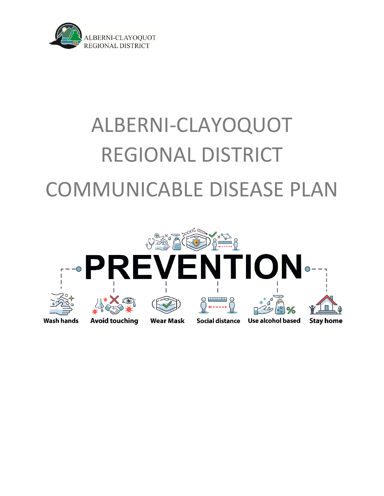

# ALBERNI-CLAYOQUOT REGIONAL DISTRICT COMMUNICABLE DISEASE PLAN

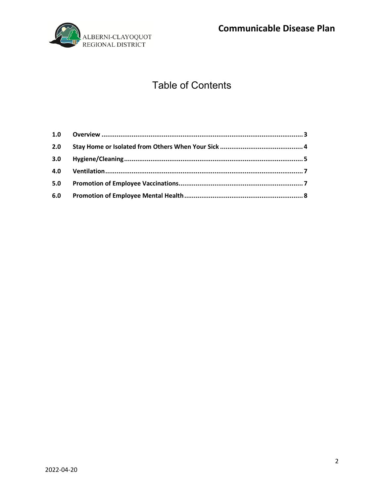**Communicable Disease Plan** 



# **Table of Contents**

| 2.0 |  |
|-----|--|
| 3.0 |  |
| 4.0 |  |
| 5.0 |  |
|     |  |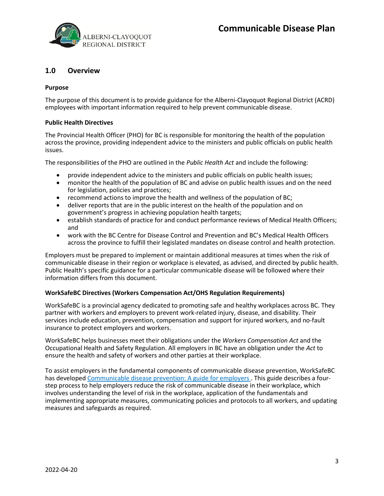

# <span id="page-2-0"></span>**1.0 Overview**

#### **Purpose**

The purpose of this document is to provide guidance for the Alberni-Clayoquot Regional District (ACRD) employees with important information required to help prevent communicable disease.

#### **Public Health Directives**

The Provincial Health Officer (PHO) for BC is responsible for monitoring the health of the population across the province, providing independent advice to the ministers and public officials on public health issues.

The responsibilities of the PHO are outlined in the *Public Health Act* and include the following:

- provide independent advice to the ministers and public officials on public health issues;
- monitor the health of the population of BC and advise on public health issues and on the need for legislation, policies and practices;
- recommend actions to improve the health and wellness of the population of BC;
- deliver reports that are in the public interest on the health of the population and on government's progress in achieving population health targets;
- establish standards of practice for and conduct performance reviews of Medical Health Officers; and
- work with the BC Centre for Disease Control and Prevention and BC's Medical Health Officers across the province to fulfill their legislated mandates on disease control and health protection.

Employers must be prepared to implement or maintain additional measures at times when the risk of communicable disease in their region or workplace is elevated, as advised, and directed by public health. Public Health's specific guidance for a particular communicable disease will be followed where their information differs from this document.

#### **WorkSafeBC Directives (Workers Compensation Act/OHS Regulation Requirements)**

WorkSafeBC is a provincial agency dedicated to promoting safe and healthy workplaces across BC. They partner with workers and employers to prevent work-related injury, disease, and disability. Their services include education, prevention, compensation and support for injured workers, and no-fault insurance to protect employers and workers.

WorkSafeBC helps businesses meet their obligations under the *Workers Compensation Act* and the Occupational Health and Safety Regulation. All employers in BC have an obligation under the *Act* to ensure the health and safety of workers and other parties at their workplace.

To assist employers in the fundamental components of communicable disease prevention, WorkSafeBC has develope[d Communicable disease prevention: A guide for employers](http://www.worksafebc.com/resources/health-safety/books-guides/communicable-disease-prevention-guide-employers) . This guide describes a fourstep process to help employers reduce the risk of communicable disease in their workplace, which involves understanding the level of risk in the workplace, application of the fundamentals and implementing appropriate measures, communicating policies and protocols to all workers, and updating measures and safeguards as required.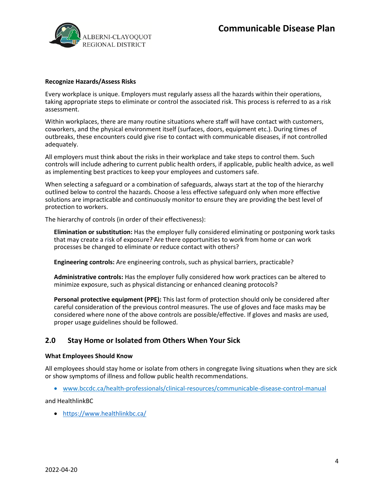

#### **Recognize Hazards/Assess Risks**

Every workplace is unique. Employers must regularly assess all the hazards within their operations, taking appropriate steps to eliminate or control the associated risk. This process is referred to as a risk assessment.

Within workplaces, there are many routine situations where staff will have contact with customers, coworkers, and the physical environment itself (surfaces, doors, equipment etc.). During times of outbreaks, these encounters could give rise to contact with communicable diseases, if not controlled adequately.

All employers must think about the risks in their workplace and take steps to control them. Such controls will include adhering to current public health orders, if applicable, public health advice, as well as implementing best practices to keep your employees and customers safe.

When selecting a safeguard or a combination of safeguards, always start at the top of the hierarchy outlined below to control the hazards. Choose a less effective safeguard only when more effective solutions are impracticable and continuously monitor to ensure they are providing the best level of protection to workers.

The hierarchy of controls (in order of their effectiveness):

**Elimination or substitution:** Has the employer fully considered eliminating or postponing work tasks that may create a risk of exposure? Are there opportunities to work from home or can work processes be changed to eliminate or reduce contact with others?

**Engineering controls:** Are engineering controls, such as physical barriers, practicable?

**Administrative controls:** Has the employer fully considered how work practices can be altered to minimize exposure, such as physical distancing or enhanced cleaning protocols?

**Personal protective equipment (PPE):** This last form of protection should only be considered after careful consideration of the previous control measures. The use of gloves and face masks may be considered where none of the above controls are possible/effective. If gloves and masks are used, proper usage guidelines should be followed.

## <span id="page-3-0"></span>**2.0 Stay Home or Isolated from Others When Your Sick**

#### **What Employees Should Know**

All employees should stay home or isolate from others in congregate living situations when they are sick or show symptoms of illness and follow public health recommendations.

• [www.bccdc.ca/health-professionals/clinical-resources/communicable-disease-control-manual](http://www.bccdc.ca/health-professionals/clinical-resources/communicable-disease-control-manual)

and HealthlinkBC

• <https://www.healthlinkbc.ca/>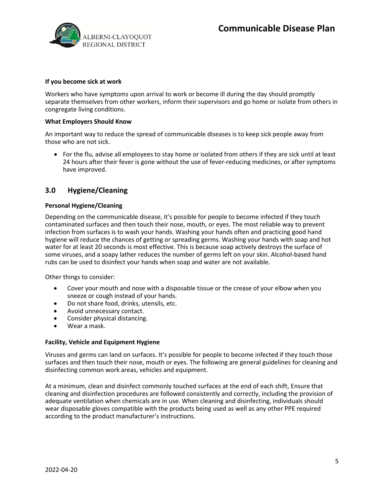

#### **If you become sick at work**

Workers who have symptoms upon arrival to work or become ill during the day should promptly separate themselves from other workers, inform their supervisors and go home or isolate from others in congregate living conditions.

#### **What Employers Should Know**

An important way to reduce the spread of communicable diseases is to keep sick people away from those who are not sick.

• For the flu, advise all employees to stay home or isolated from others if they are sick until at least 24 hours after their fever is gone without the use of fever-reducing medicines, or after symptoms have improved.

### <span id="page-4-0"></span>**3.0 Hygiene/Cleaning**

#### **Personal Hygiene/Cleaning**

Depending on the communicable disease, it's possible for people to become infected if they touch contaminated surfaces and then touch their nose, mouth, or eyes. The most reliable way to prevent infection from surfaces is to wash your hands. Washing your hands often and practicing good hand hygiene will reduce the chances of getting or spreading germs. Washing your hands with soap and hot water for at least 20 seconds is most effective. This is because soap actively destroys the surface of some viruses, and a soapy lather reduces the number of germs left on your skin. Alcohol-based hand rubs can be used to disinfect your hands when soap and water are not available.

Other things to consider:

- Cover your mouth and nose with a disposable tissue or the crease of your elbow when you sneeze or cough instead of your hands.
- Do not share food, drinks, utensils, etc.
- Avoid unnecessary contact.
- Consider physical distancing.
- Wear a mask.

#### **Facility, Vehicle and Equipment Hygiene**

Viruses and germs can land on surfaces. It's possible for people to become infected if they touch those surfaces and then touch their nose, mouth or eyes. The following are general guidelines for cleaning and disinfecting common work areas, vehicles and equipment.

At a minimum, clean and disinfect commonly touched surfaces at the end of each shift, Ensure that cleaning and disinfection procedures are followed consistently and correctly, including the provision of adequate ventilation when chemicals are in use. When cleaning and disinfecting, individuals should wear disposable gloves compatible with the products being used as well as any other PPE required according to the product manufacturer's instructions.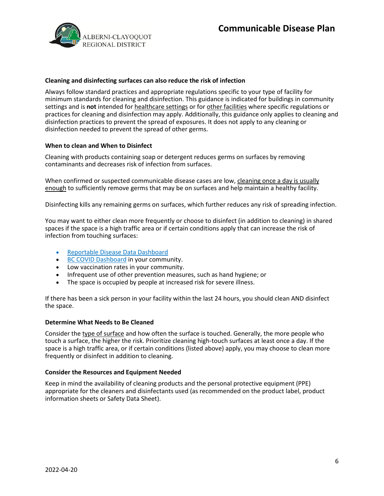

#### **Cleaning and disinfecting surfaces can also reduce the risk of infection**

Always follow standard practices and appropriate regulations specific to your type of facility for minimum standards for cleaning and disinfection. This guidance is indicated for buildings in community settings and is **not** intended for [healthcare settings](https://www.cdc.gov/coronavirus/2019-ncov/hcp/infection-control.html) or for [other facilities](https://www.cdc.gov/coronavirus/2019-ncov/community/disinfecting-building-facility.html#other-facilities) where specific regulations or practices for cleaning and disinfection may apply. Additionally, this guidance only applies to cleaning and disinfection practices to prevent the spread of exposures. It does not apply to any cleaning or disinfection needed to prevent the spread of other germs.

#### **When to clean and When to Disinfect**

Cleaning with products containing soap or detergent reduces germs on surfaces by removing contaminants and decreases risk of infection from surfaces.

When confirmed or suspected communicable disease cases are low, [cleaning once a day is usually](https://www.cdc.gov/coronavirus/2019-ncov/more/science-and-research/surface-transmission.html)  [enough](https://www.cdc.gov/coronavirus/2019-ncov/more/science-and-research/surface-transmission.html) to sufficiently remove germs that may be on surfaces and help maintain a healthy facility.

Disinfecting kills any remaining germs on surfaces, which further reduces any risk of spreading infection.

You may want to either clean more frequently or choose to disinfect (in addition to cleaning) in shared spaces if the space is a high traffic area or if certain conditions apply that can increase the risk of infection from touching surfaces:

- [Reportable Disease Data Dashboard](http://www.bccdc.ca/health-professionals/data-reports/reportable-diseases-data-dashboard)
- [BC COVID Dashboard](https://governmentofbc.maps.arcgis.com/apps/dashboards/11bd9b0303c64373b5680df29e5b5914) in your community.
- Low vaccination rates in your community.
- Infrequent use of other prevention measures, such as hand hygiene; or
- The space is occupied by people at increased risk for severe illness.

If there has been a sick person in your facility within the last 24 hours, you should clean AND disinfect the space.

#### **Determine What Needs to Be Cleaned**

Consider the [type of surface](https://www.cdc.gov/coronavirus/2019-ncov/community/disinfecting-building-facility.html#anchor_1617551609730) and how often the surface is touched. Generally, the more people who touch a surface, the higher the risk. Prioritize cleaning high-touch surfaces at least once a day. If the space is a high traffic area, or if certain conditions (listed above) apply, you may choose to clean more frequently or disinfect in addition to cleaning.

#### **Consider the Resources and Equipment Needed**

Keep in mind the availability of cleaning products and the personal protective equipment (PPE) appropriate for the cleaners and disinfectants used (as recommended on the product label, product information sheets or Safety Data Sheet).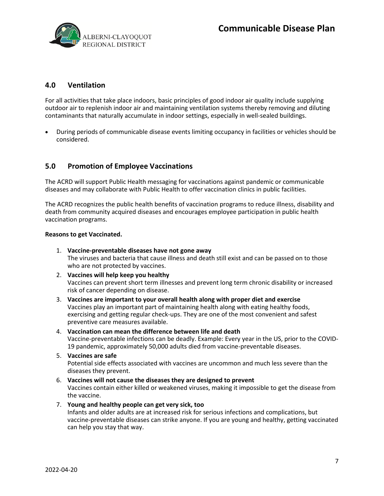

# <span id="page-6-0"></span>**4.0 Ventilation**

For all activities that take place indoors, basic principles of good indoor air quality include supplying outdoor air to replenish indoor air and maintaining ventilation systems thereby removing and diluting contaminants that naturally accumulate in indoor settings, especially in well-sealed buildings.

• During periods of communicable disease events limiting occupancy in facilities or vehicles should be considered.

# <span id="page-6-1"></span>**5.0 Promotion of Employee Vaccinations**

The ACRD will support Public Health messaging for vaccinations against pandemic or communicable diseases and may collaborate with Public Health to offer vaccination clinics in public facilities.

The ACRD recognizes the public health benefits of vaccination programs to reduce illness, disability and death from community acquired diseases and encourages employee participation in public health vaccination programs.

#### **Reasons to get Vaccinated.**

- 1. **Vaccine-preventable diseases have not gone away** The viruses and bacteria that cause illness and death still exist and can be passed on to those who are not protected by vaccines.
- 2. **Vaccines will help keep you healthy** Vaccines can prevent short term illnesses and prevent long term chronic disability or increased risk of cancer depending on disease.
- 3. **Vaccines are important to your overall health along with proper diet and exercise** Vaccines play an important part of maintaining health along with eating healthy foods, exercising and getting regular check-ups. They are one of the most convenient and safest preventive care measures available.
- 4. **Vaccination can mean the difference between life and death** Vaccine-preventable infections can be deadly. Example: Every year in the US, prior to the COVID-19 pandemic, approximately 50,000 adults died from vaccine-preventable diseases.
- 5. **Vaccines are safe** Potential side effects associated with vaccines are uncommon and much less severe than the diseases they prevent.
- 6. **Vaccines will not cause the diseases they are designed to prevent** Vaccines contain either killed or weakened viruses, making it impossible to get the disease from the vaccine.
- 7. **Young and healthy people can get very sick, too** Infants and older adults are at increased risk for serious infections and complications, but vaccine-preventable diseases can strike anyone. If you are young and healthy, getting vaccinated can help you stay that way.